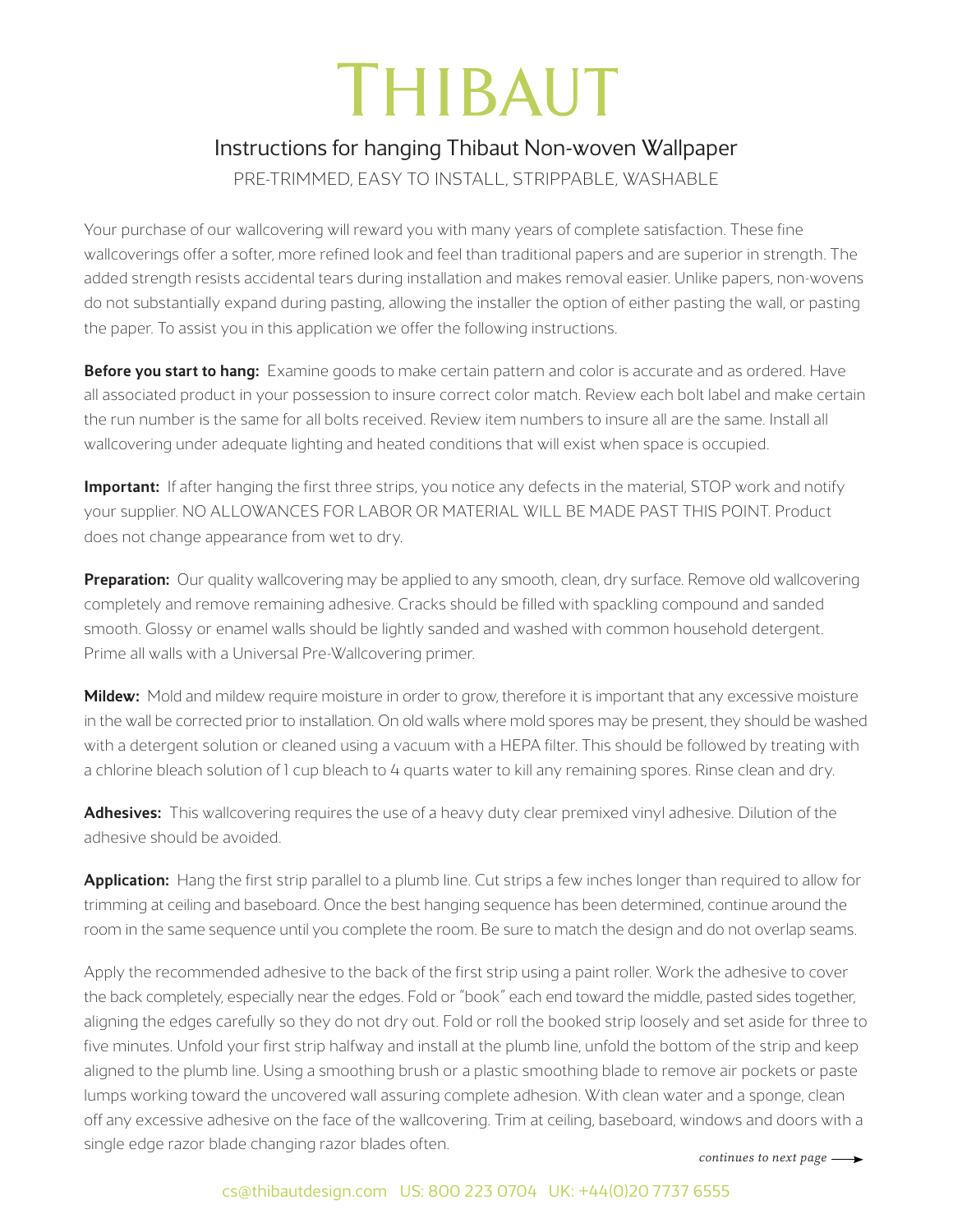## **THIBAUT**

## Instructions for hanging Thibaut Non-woven Wallpaper

PRE-TRIMMED, EASY TO INSTALL, STRIPPABLE, WASHABLE

Your purchase of our wallcovering will reward you with many years of complete satisfaction. These fine wallcoverings offer a softer, more refined look and feel than traditional papers and are superior in strength. The added strength resists accidental tears during installation and makes removal easier. Unlike papers, non-wovens do not substantially expand during pasting, allowing the installer the option of either pasting the wall, or pasting the paper. To assist you in this application we offer the following instructions.

Before you start to hang: Examine goods to make certain pattern and color is accurate and as ordered. Have all associated product in your possession to insure correct color match. Review each bolt label and make certain the run number is the same for all bolts received. Review item numbers to insure all are the same. Install all wallcovering under adequate lighting and heated conditions that will exist when space is occupied.

Important: If after hanging the first three strips, you notice any defects in the material, STOP work and notify your supplier. NO ALLOWANCES FOR LABOR OR MATERIAL WILL BE MADE PAST THIS POINT. Product does not change appearance from wet to dry.

**Preparation:** Our quality wallcovering may be applied to any smooth, clean, dry surface. Remove old wallcovering completely and remove remaining adhesive. Cracks should be filled with spackling compound and sanded smooth. Glossy or enamel walls should be lightly sanded and washed with common household detergent. Prime all walls with a Universal Pre-Wallcovering primer.

Mildew: Mold and mildew require moisture in order to grow, therefore it is important that any excessive moisture in the wall be corrected prior to installation. On old walls where mold spores may be present, they should be washed with a detergent solution or cleaned using a vacuum with a HEPA filter. This should be followed by treating with a chlorine bleach solution of 1 cup bleach to 4 quarts water to kill any remaining spores. Rinse clean and dry.

Adhesives: This wallcovering requires the use of a heavy duty clear premixed vinyl adhesive. Dilution of the adhesive should be avoided.

Application: Hang the first strip parallel to a plumb line. Cut strips a few inches longer than required to allow for trimming at ceiling and baseboard. Once the best hanging sequence has been determined, continue around the room in the same sequence until you complete the room. Be sure to match the design and do not overlap seams.

Apply the recommended adhesive to the back of the first strip using a paint roller. Work the adhesive to cover the back completely, especially near the edges. Fold or "book" each end toward the middle, pasted sides together, aligning the edges carefully so they do not dry out. Fold or roll the booked strip loosely and set aside for three to five minutes. Unfold your first strip halfway and install at the plumb line, unfold the bottom of the strip and keep aligned to the plumb line. Using a smoothing brush or a plastic smoothing blade to remove air pockets or paste lumps working toward the uncovered wall assuring complete adhesion. With clean water and a sponge, clean off any excessive adhesive on the face of the wallcovering. Trim at ceiling, baseboard, windows and doors with a single edge razor blade changing razor blades often.

*continues to next page*